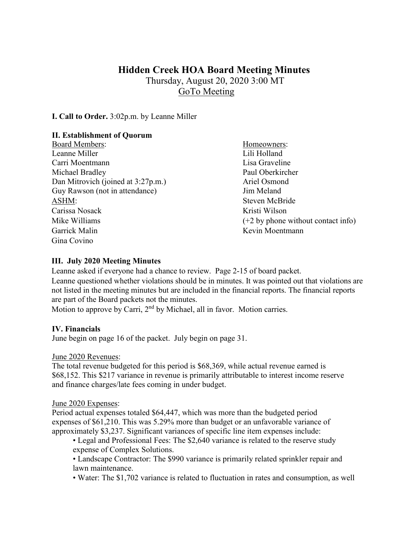# **Hidden Creek HOA Board Meeting Minutes**

Thursday, August 20, 2020 3:00 MT GoTo Meeting

**I. Call to Order.** 3:02p.m. by Leanne Miller

### **II. Establishment of Quorum**

Board Members: Homeowners: Leanne Miller **Lili Holland** Carri Moentmann Lisa Graveline Michael Bradley Paul Oberkircher Dan Mitrovich (joined at 3:27p.m.) Ariel Osmond Guy Rawson (not in attendance) Jim Meland ASHM: Steven McBride Carissa Nosack Kristi Wilson Mike Williams (+2 by phone without contact info) Garrick Malin Kevin Moentmann Gina Covino

#### **III. July 2020 Meeting Minutes**

Leanne asked if everyone had a chance to review. Page 2-15 of board packet. Leanne questioned whether violations should be in minutes. It was pointed out that violations are not listed in the meeting minutes but are included in the financial reports. The financial reports are part of the Board packets not the minutes.

Motion to approve by Carri, 2<sup>nd</sup> by Michael, all in favor. Motion carries.

#### **IV. Financials**

June begin on page 16 of the packet. July begin on page 31.

#### June 2020 Revenues:

The total revenue budgeted for this period is \$68,369, while actual revenue earned is \$68,152. This \$217 variance in revenue is primarily attributable to interest income reserve and finance charges/late fees coming in under budget.

#### June 2020 Expenses:

Period actual expenses totaled \$64,447, which was more than the budgeted period expenses of \$61,210. This was 5.29% more than budget or an unfavorable variance of approximately \$3,237. Significant variances of specific line item expenses include:

- Legal and Professional Fees: The \$2,640 variance is related to the reserve study expense of Complex Solutions.
- Landscape Contractor: The \$990 variance is primarily related sprinkler repair and lawn maintenance.
- Water: The \$1,702 variance is related to fluctuation in rates and consumption, as well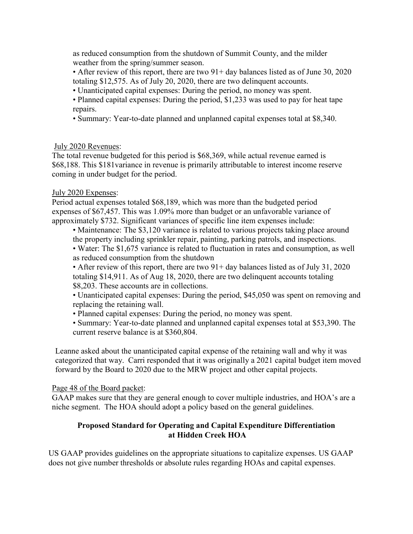as reduced consumption from the shutdown of Summit County, and the milder weather from the spring/summer season.

• After review of this report, there are two  $91+$  day balances listed as of June 30, 2020 totaling \$12,575. As of July 20, 2020, there are two delinquent accounts.

- Unanticipated capital expenses: During the period, no money was spent.
- Planned capital expenses: During the period, \$1,233 was used to pay for heat tape repairs.
- Summary: Year-to-date planned and unplanned capital expenses total at \$8,340.

## July 2020 Revenues:

The total revenue budgeted for this period is \$68,369, while actual revenue earned is \$68,188. This \$181variance in revenue is primarily attributable to interest income reserve coming in under budget for the period.

## July 2020 Expenses:

Period actual expenses totaled \$68,189, which was more than the budgeted period expenses of \$67,457. This was 1.09% more than budget or an unfavorable variance of approximately \$732. Significant variances of specific line item expenses include:

- Maintenance: The \$3,120 variance is related to various projects taking place around the property including sprinkler repair, painting, parking patrols, and inspections.
- Water: The \$1,675 variance is related to fluctuation in rates and consumption, as well as reduced consumption from the shutdown

• After review of this report, there are two 91+ day balances listed as of July 31, 2020 totaling \$14,911. As of Aug 18, 2020, there are two delinquent accounts totaling \$8,203. These accounts are in collections.

• Unanticipated capital expenses: During the period, \$45,050 was spent on removing and replacing the retaining wall.

• Planned capital expenses: During the period, no money was spent.

• Summary: Year-to-date planned and unplanned capital expenses total at \$53,390. The current reserve balance is at \$360,804.

Leanne asked about the unanticipated capital expense of the retaining wall and why it was categorized that way. Carri responded that it was originally a 2021 capital budget item moved forward by the Board to 2020 due to the MRW project and other capital projects.

# Page 48 of the Board packet:

GAAP makes sure that they are general enough to cover multiple industries, and HOA's are a niche segment. The HOA should adopt a policy based on the general guidelines.

## **Proposed Standard for Operating and Capital Expenditure Differentiation at Hidden Creek HOA**

US GAAP provides guidelines on the appropriate situations to capitalize expenses. US GAAP does not give number thresholds or absolute rules regarding HOAs and capital expenses.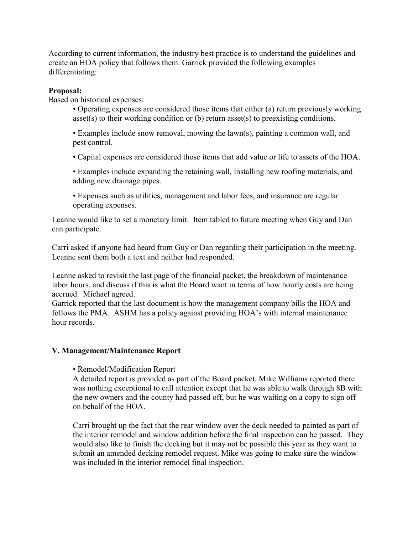According to current information, the industry best practice is to understand the guidelines and create an HOA policy that follows them. Garrick provided the following examples differentiating:

#### **Proposal:**

Based on historical expenses:

- Operating expenses are considered those items that either (a) return previously working asset(s) to their working condition or (b) return asset(s) to preexisting conditions.
- Examples include snow removal, mowing the lawn(s), painting a common wall, and pest control.
- Capital expenses are considered those items that add value or life to assets of the HOA.
- Examples include expanding the retaining wall, installing new roofing materials, and adding new drainage pipes.
- Expenses such as utilities, management and labor fees, and insurance are regular operating expenses.

Leanne would like to set a monetary limit. Item tabled to future meeting when Guy and Dan can participate.

Carri asked if anyone had heard from Guy or Dan regarding their participation in the meeting. Leanne sent them both a text and neither had responded.

Leanne asked to revisit the last page of the financial packet, the breakdown of maintenance labor hours, and discuss if this is what the Board want in terms of how hourly costs are being accrued. Michael agreed.

Garrick reported that the last document is how the management company bills the HOA and follows the PMA. ASHM has a policy against providing HOA's with internal maintenance hour records.

#### **V. Management/Maintenance Report**

• Remodel/Modification Report

A detailed report is provided as part of the Board packet. Mike Williams reported there was nothing exceptional to call attention except that he was able to walk through 8B with the new owners and the county had passed off, but he was waiting on a copy to sign off on behalf of the HOA.

Carri brought up the fact that the rear window over the deck needed to painted as part of the interior remodel and window addition before the final inspection can be passed. They would also like to finish the decking but it may not be possible this year as they want to submit an amended decking remodel request. Mike was going to make sure the window was included in the interior remodel final inspection.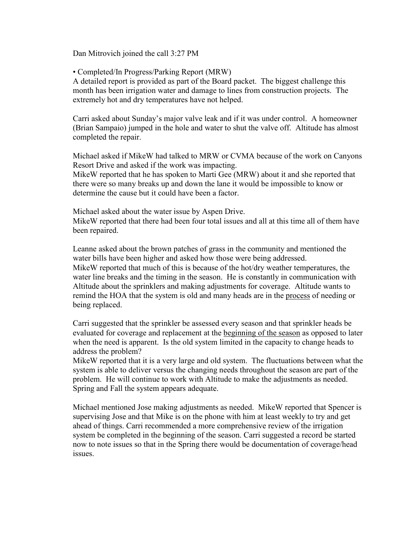Dan Mitrovich joined the call 3:27 PM

• Completed/In Progress/Parking Report (MRW)

A detailed report is provided as part of the Board packet. The biggest challenge this month has been irrigation water and damage to lines from construction projects. The extremely hot and dry temperatures have not helped.

Carri asked about Sunday's major valve leak and if it was under control. A homeowner (Brian Sampaio) jumped in the hole and water to shut the valve off. Altitude has almost completed the repair.

Michael asked if MikeW had talked to MRW or CVMA because of the work on Canyons Resort Drive and asked if the work was impacting.

MikeW reported that he has spoken to Marti Gee (MRW) about it and she reported that there were so many breaks up and down the lane it would be impossible to know or determine the cause but it could have been a factor.

Michael asked about the water issue by Aspen Drive. MikeW reported that there had been four total issues and all at this time all of them have been repaired.

Leanne asked about the brown patches of grass in the community and mentioned the water bills have been higher and asked how those were being addressed. MikeW reported that much of this is because of the hot/dry weather temperatures, the water line breaks and the timing in the season. He is constantly in communication with Altitude about the sprinklers and making adjustments for coverage. Altitude wants to remind the HOA that the system is old and many heads are in the process of needing or being replaced.

Carri suggested that the sprinkler be assessed every season and that sprinkler heads be evaluated for coverage and replacement at the beginning of the season as opposed to later when the need is apparent. Is the old system limited in the capacity to change heads to address the problem?

MikeW reported that it is a very large and old system. The fluctuations between what the system is able to deliver versus the changing needs throughout the season are part of the problem. He will continue to work with Altitude to make the adjustments as needed. Spring and Fall the system appears adequate.

Michael mentioned Jose making adjustments as needed. MikeW reported that Spencer is supervising Jose and that Mike is on the phone with him at least weekly to try and get ahead of things. Carri recommended a more comprehensive review of the irrigation system be completed in the beginning of the season. Carri suggested a record be started now to note issues so that in the Spring there would be documentation of coverage/head issues.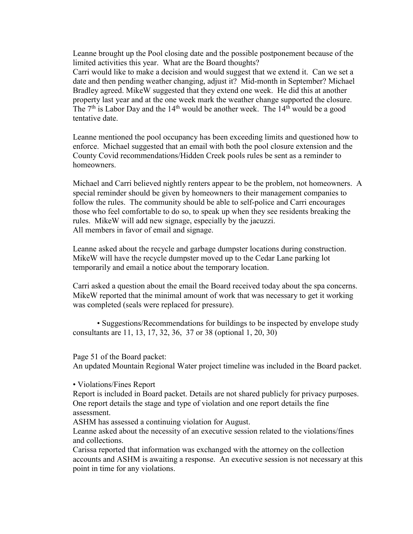Leanne brought up the Pool closing date and the possible postponement because of the limited activities this year. What are the Board thoughts?

Carri would like to make a decision and would suggest that we extend it. Can we set a date and then pending weather changing, adjust it? Mid-month in September? Michael Bradley agreed. MikeW suggested that they extend one week. He did this at another property last year and at the one week mark the weather change supported the closure. The  $7<sup>th</sup>$  is Labor Day and the  $14<sup>th</sup>$  would be another week. The  $14<sup>th</sup>$  would be a good tentative date.

Leanne mentioned the pool occupancy has been exceeding limits and questioned how to enforce. Michael suggested that an email with both the pool closure extension and the County Covid recommendations/Hidden Creek pools rules be sent as a reminder to homeowners.

Michael and Carri believed nightly renters appear to be the problem, not homeowners. A special reminder should be given by homeowners to their management companies to follow the rules. The community should be able to self-police and Carri encourages those who feel comfortable to do so, to speak up when they see residents breaking the rules. MikeW will add new signage, especially by the jacuzzi. All members in favor of email and signage.

Leanne asked about the recycle and garbage dumpster locations during construction. MikeW will have the recycle dumpster moved up to the Cedar Lane parking lot temporarily and email a notice about the temporary location.

Carri asked a question about the email the Board received today about the spa concerns. MikeW reported that the minimal amount of work that was necessary to get it working was completed (seals were replaced for pressure).

• Suggestions/Recommendations for buildings to be inspected by envelope study consultants are 11, 13, 17, 32, 36, 37 or 38 (optional 1, 20, 30)

Page 51 of the Board packet:

An updated Mountain Regional Water project timeline was included in the Board packet.

• Violations/Fines Report

Report is included in Board packet. Details are not shared publicly for privacy purposes. One report details the stage and type of violation and one report details the fine assessment.

ASHM has assessed a continuing violation for August.

Leanne asked about the necessity of an executive session related to the violations/fines and collections.

Carissa reported that information was exchanged with the attorney on the collection accounts and ASHM is awaiting a response. An executive session is not necessary at this point in time for any violations.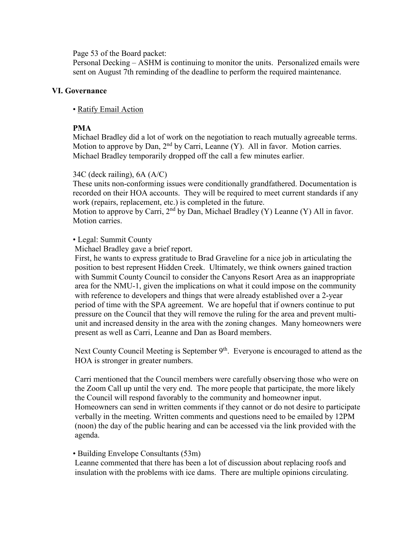Page 53 of the Board packet:

Personal Decking – ASHM is continuing to monitor the units. Personalized emails were sent on August 7th reminding of the deadline to perform the required maintenance.

#### **VI. Governance**

#### • Ratify Email Action

### **PMA**

Michael Bradley did a lot of work on the negotiation to reach mutually agreeable terms. Motion to approve by Dan,  $2<sup>nd</sup>$  by Carri, Leanne (Y). All in favor. Motion carries. Michael Bradley temporarily dropped off the call a few minutes earlier.

#### 34C (deck railing), 6A (A/C)

These units non-conforming issues were conditionally grandfathered. Documentation is recorded on their HOA accounts. They will be required to meet current standards if any work (repairs, replacement, etc.) is completed in the future.

Motion to approve by Carri,  $2<sup>nd</sup>$  by Dan, Michael Bradley (Y) Leanne (Y) All in favor. Motion carries.

#### • Legal: Summit County

Michael Bradley gave a brief report.

First, he wants to express gratitude to Brad Graveline for a nice job in articulating the position to best represent Hidden Creek. Ultimately, we think owners gained traction with Summit County Council to consider the Canyons Resort Area as an inappropriate area for the NMU-1, given the implications on what it could impose on the community with reference to developers and things that were already established over a 2-year period of time with the SPA agreement. We are hopeful that if owners continue to put pressure on the Council that they will remove the ruling for the area and prevent multiunit and increased density in the area with the zoning changes. Many homeowners were present as well as Carri, Leanne and Dan as Board members.

Next County Council Meeting is September 9<sup>th</sup>. Everyone is encouraged to attend as the HOA is stronger in greater numbers.

Carri mentioned that the Council members were carefully observing those who were on the Zoom Call up until the very end. The more people that participate, the more likely the Council will respond favorably to the community and homeowner input. Homeowners can send in written comments if they cannot or do not desire to participate verbally in the meeting. Written comments and questions need to be emailed by 12PM (noon) the day of the public hearing and can be accessed via the link provided with the agenda.

#### • Building Envelope Consultants (53m)

Leanne commented that there has been a lot of discussion about replacing roofs and insulation with the problems with ice dams. There are multiple opinions circulating.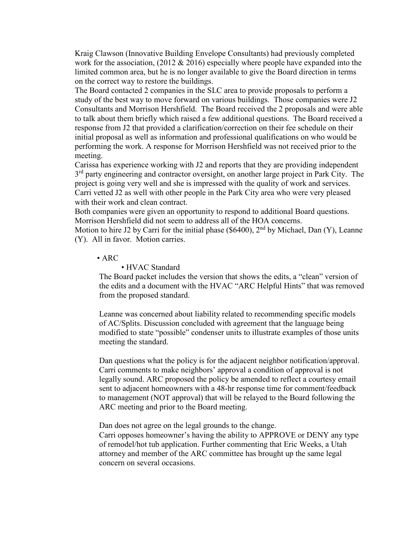Kraig Clawson (Innovative Building Envelope Consultants) had previously completed work for the association, (2012 & 2016) especially where people have expanded into the limited common area, but he is no longer available to give the Board direction in terms on the correct way to restore the buildings.

The Board contacted 2 companies in the SLC area to provide proposals to perform a study of the best way to move forward on various buildings. Those companies were J2 Consultants and Morrison Hershfield. The Board received the 2 proposals and were able to talk about them briefly which raised a few additional questions. The Board received a response from J2 that provided a clarification/correction on their fee schedule on their initial proposal as well as information and professional qualifications on who would be performing the work. A response for Morrison Hershfield was not received prior to the meeting.

Carissa has experience working with J2 and reports that they are providing independent 3<sup>rd</sup> party engineering and contractor oversight, on another large project in Park City. The project is going very well and she is impressed with the quality of work and services. Carri vetted J2 as well with other people in the Park City area who were very pleased with their work and clean contract.

Both companies were given an opportunity to respond to additional Board questions. Morrison Hershfield did not seem to address all of the HOA concerns.

Motion to hire J2 by Carri for the initial phase (\$6400),  $2<sup>nd</sup>$  by Michael, Dan (Y), Leanne (Y). All in favor. Motion carries.

#### • ARC

#### • HVAC Standard

The Board packet includes the version that shows the edits, a "clean" version of the edits and a document with the HVAC "ARC Helpful Hints" that was removed from the proposed standard.

Leanne was concerned about liability related to recommending specific models of AC/Splits. Discussion concluded with agreement that the language being modified to state "possible" condenser units to illustrate examples of those units meeting the standard.

Dan questions what the policy is for the adjacent neighbor notification/approval. Carri comments to make neighbors' approval a condition of approval is not legally sound. ARC proposed the policy be amended to reflect a courtesy email sent to adjacent homeowners with a 48-hr response time for comment/feedback to management (NOT approval) that will be relayed to the Board following the ARC meeting and prior to the Board meeting.

Dan does not agree on the legal grounds to the change.

Carri opposes homeowner's having the ability to APPROVE or DENY any type of remodel/hot tub application. Further commenting that Eric Weeks, a Utah attorney and member of the ARC committee has brought up the same legal concern on several occasions.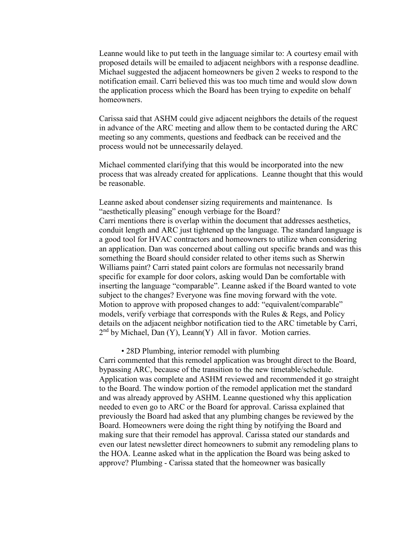Leanne would like to put teeth in the language similar to: A courtesy email with proposed details will be emailed to adjacent neighbors with a response deadline. Michael suggested the adjacent homeowners be given 2 weeks to respond to the notification email. Carri believed this was too much time and would slow down the application process which the Board has been trying to expedite on behalf homeowners.

Carissa said that ASHM could give adjacent neighbors the details of the request in advance of the ARC meeting and allow them to be contacted during the ARC meeting so any comments, questions and feedback can be received and the process would not be unnecessarily delayed.

Michael commented clarifying that this would be incorporated into the new process that was already created for applications. Leanne thought that this would be reasonable.

Leanne asked about condenser sizing requirements and maintenance. Is "aesthetically pleasing" enough verbiage for the Board? Carri mentions there is overlap within the document that addresses aesthetics, conduit length and ARC just tightened up the language. The standard language is a good tool for HVAC contractors and homeowners to utilize when considering an application. Dan was concerned about calling out specific brands and was this something the Board should consider related to other items such as Sherwin Williams paint? Carri stated paint colors are formulas not necessarily brand specific for example for door colors, asking would Dan be comfortable with inserting the language "comparable". Leanne asked if the Board wanted to vote subject to the changes? Everyone was fine moving forward with the vote. Motion to approve with proposed changes to add: "equivalent/comparable" models, verify verbiage that corresponds with the Rules & Regs, and Policy details on the adjacent neighbor notification tied to the ARC timetable by Carri,  $2<sup>nd</sup>$  by Michael, Dan (Y), Leann(Y) All in favor. Motion carries.

• 28D Plumbing, interior remodel with plumbing

Carri commented that this remodel application was brought direct to the Board, bypassing ARC, because of the transition to the new timetable/schedule. Application was complete and ASHM reviewed and recommended it go straight to the Board. The window portion of the remodel application met the standard and was already approved by ASHM. Leanne questioned why this application needed to even go to ARC or the Board for approval. Carissa explained that previously the Board had asked that any plumbing changes be reviewed by the Board. Homeowners were doing the right thing by notifying the Board and making sure that their remodel has approval. Carissa stated our standards and even our latest newsletter direct homeowners to submit any remodeling plans to the HOA. Leanne asked what in the application the Board was being asked to approve? Plumbing - Carissa stated that the homeowner was basically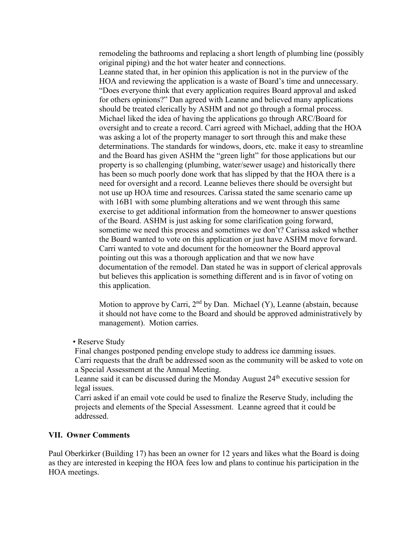remodeling the bathrooms and replacing a short length of plumbing line (possibly original piping) and the hot water heater and connections.

Leanne stated that, in her opinion this application is not in the purview of the HOA and reviewing the application is a waste of Board's time and unnecessary. "Does everyone think that every application requires Board approval and asked for others opinions?" Dan agreed with Leanne and believed many applications should be treated clerically by ASHM and not go through a formal process. Michael liked the idea of having the applications go through ARC/Board for oversight and to create a record. Carri agreed with Michael, adding that the HOA was asking a lot of the property manager to sort through this and make these determinations. The standards for windows, doors, etc. make it easy to streamline and the Board has given ASHM the "green light" for those applications but our property is so challenging (plumbing, water/sewer usage) and historically there has been so much poorly done work that has slipped by that the HOA there is a need for oversight and a record. Leanne believes there should be oversight but not use up HOA time and resources. Carissa stated the same scenario came up with 16B1 with some plumbing alterations and we went through this same exercise to get additional information from the homeowner to answer questions of the Board. ASHM is just asking for some clarification going forward, sometime we need this process and sometimes we don't? Carissa asked whether the Board wanted to vote on this application or just have ASHM move forward. Carri wanted to vote and document for the homeowner the Board approval pointing out this was a thorough application and that we now have documentation of the remodel. Dan stated he was in support of clerical approvals but believes this application is something different and is in favor of voting on this application.

Motion to approve by Carri,  $2<sup>nd</sup>$  by Dan. Michael (Y), Leanne (abstain, because it should not have come to the Board and should be approved administratively by management). Motion carries.

• Reserve Study

Final changes postponed pending envelope study to address ice damming issues. Carri requests that the draft be addressed soon as the community will be asked to vote on a Special Assessment at the Annual Meeting.

Leanne said it can be discussed during the Monday August 24<sup>th</sup> executive session for legal issues.

Carri asked if an email vote could be used to finalize the Reserve Study, including the projects and elements of the Special Assessment. Leanne agreed that it could be addressed.

#### **VII. Owner Comments**

Paul Oberkirker (Building 17) has been an owner for 12 years and likes what the Board is doing as they are interested in keeping the HOA fees low and plans to continue his participation in the HOA meetings.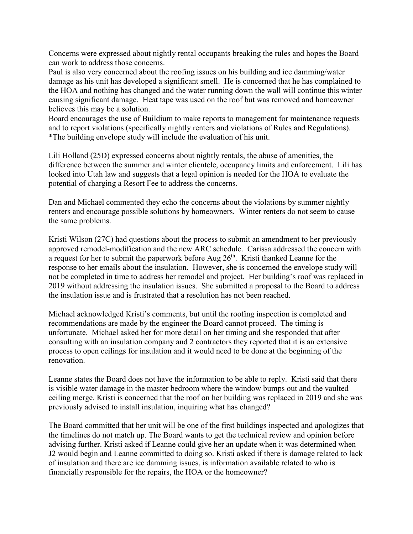Concerns were expressed about nightly rental occupants breaking the rules and hopes the Board can work to address those concerns.

Paul is also very concerned about the roofing issues on his building and ice damming/water damage as his unit has developed a significant smell. He is concerned that he has complained to the HOA and nothing has changed and the water running down the wall will continue this winter causing significant damage. Heat tape was used on the roof but was removed and homeowner believes this may be a solution.

Board encourages the use of Buildium to make reports to management for maintenance requests and to report violations (specifically nightly renters and violations of Rules and Regulations). \*The building envelope study will include the evaluation of his unit.

Lili Holland (25D) expressed concerns about nightly rentals, the abuse of amenities, the difference between the summer and winter clientele, occupancy limits and enforcement. Lili has looked into Utah law and suggests that a legal opinion is needed for the HOA to evaluate the potential of charging a Resort Fee to address the concerns.

Dan and Michael commented they echo the concerns about the violations by summer nightly renters and encourage possible solutions by homeowners. Winter renters do not seem to cause the same problems.

Kristi Wilson (27C) had questions about the process to submit an amendment to her previously approved remodel-modification and the new ARC schedule. Carissa addressed the concern with a request for her to submit the paperwork before Aug  $26<sup>th</sup>$ . Kristi thanked Leanne for the response to her emails about the insulation. However, she is concerned the envelope study will not be completed in time to address her remodel and project. Her building's roof was replaced in 2019 without addressing the insulation issues. She submitted a proposal to the Board to address the insulation issue and is frustrated that a resolution has not been reached.

Michael acknowledged Kristi's comments, but until the roofing inspection is completed and recommendations are made by the engineer the Board cannot proceed. The timing is unfortunate. Michael asked her for more detail on her timing and she responded that after consulting with an insulation company and 2 contractors they reported that it is an extensive process to open ceilings for insulation and it would need to be done at the beginning of the renovation.

Leanne states the Board does not have the information to be able to reply. Kristi said that there is visible water damage in the master bedroom where the window bumps out and the vaulted ceiling merge. Kristi is concerned that the roof on her building was replaced in 2019 and she was previously advised to install insulation, inquiring what has changed?

The Board committed that her unit will be one of the first buildings inspected and apologizes that the timelines do not match up. The Board wants to get the technical review and opinion before advising further. Kristi asked if Leanne could give her an update when it was determined when J2 would begin and Leanne committed to doing so. Kristi asked if there is damage related to lack of insulation and there are ice damming issues, is information available related to who is financially responsible for the repairs, the HOA or the homeowner?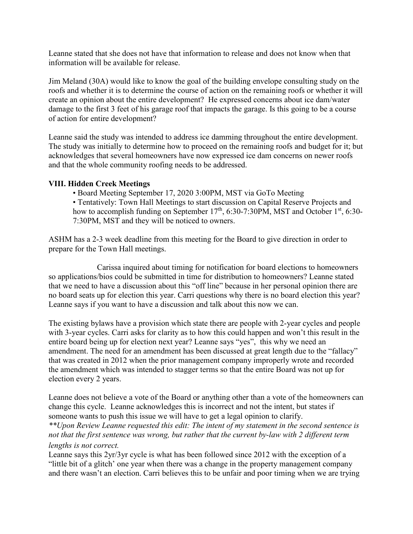Leanne stated that she does not have that information to release and does not know when that information will be available for release.

Jim Meland (30A) would like to know the goal of the building envelope consulting study on the roofs and whether it is to determine the course of action on the remaining roofs or whether it will create an opinion about the entire development? He expressed concerns about ice dam/water damage to the first 3 feet of his garage roof that impacts the garage. Is this going to be a course of action for entire development?

Leanne said the study was intended to address ice damming throughout the entire development. The study was initially to determine how to proceed on the remaining roofs and budget for it; but acknowledges that several homeowners have now expressed ice dam concerns on newer roofs and that the whole community roofing needs to be addressed.

#### **VIII. Hidden Creek Meetings**

• Board Meeting September 17, 2020 3:00PM, MST via GoTo Meeting

• Tentatively: Town Hall Meetings to start discussion on Capital Reserve Projects and how to accomplish funding on September  $17<sup>th</sup>$ , 6:30-7:30PM, MST and October  $1<sup>st</sup>$ , 6:30-7:30PM, MST and they will be noticed to owners.

ASHM has a 2-3 week deadline from this meeting for the Board to give direction in order to prepare for the Town Hall meetings.

Carissa inquired about timing for notification for board elections to homeowners so applications/bios could be submitted in time for distribution to homeowners? Leanne stated that we need to have a discussion about this "off line" because in her personal opinion there are no board seats up for election this year. Carri questions why there is no board election this year? Leanne says if you want to have a discussion and talk about this now we can.

The existing bylaws have a provision which state there are people with 2-year cycles and people with 3-year cycles. Carri asks for clarity as to how this could happen and won't this result in the entire board being up for election next year? Leanne says "yes", this why we need an amendment. The need for an amendment has been discussed at great length due to the "fallacy" that was created in 2012 when the prior management company improperly wrote and recorded the amendment which was intended to stagger terms so that the entire Board was not up for election every 2 years.

Leanne does not believe a vote of the Board or anything other than a vote of the homeowners can change this cycle. Leanne acknowledges this is incorrect and not the intent, but states if someone wants to push this issue we will have to get a legal opinion to clarify.

*\*\*Upon Review Leanne requested this edit: The intent of my statement in the second sentence is not that the first sentence was wrong, but rather that the current by-law with 2 different term lengths is not correct.*

Leanne says this 2yr/3yr cycle is what has been followed since 2012 with the exception of a "little bit of a glitch' one year when there was a change in the property management company and there wasn't an election. Carri believes this to be unfair and poor timing when we are trying